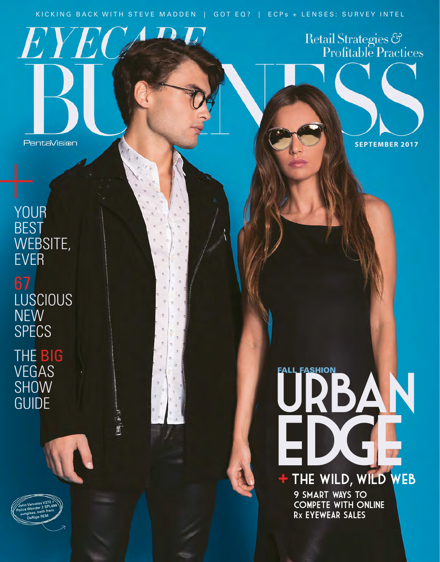KICKING BACK WITH STEVE MADDEN | GOT EQ? | ECPs + LENSES: SURVEY INTEL

 $\begin{array}{c} \n\hline\n\end{array}$ 

 $E$ 

 $\langle \bm{R} \rangle$ 

**SEPTEMBER 2017**

Retail Strategies &<br>Profitable Practices

EDGE

<u>FALL FAS</u>HION

+ THE WILD, WILD WEB

9 smart WAYS TO COMPETE WITH ONLINE Rx EYEWEAR SALES

**BEST** WEBSITE, EVER LUSCIOUS NEW **SPECS** 

YOUR

THE BIG VEGAS SHOW<br>GUIDE VEGAS SHOW SHOW SHOW SHOW

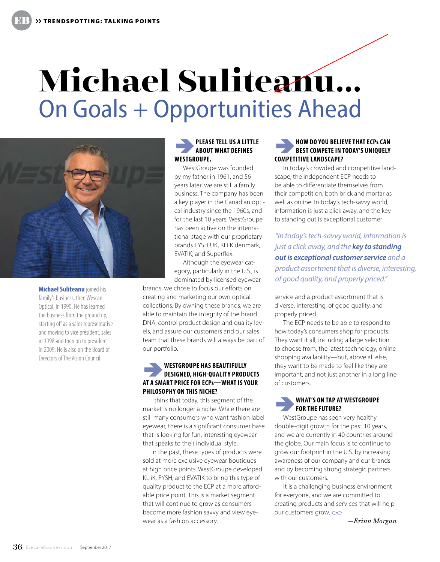# **Michael Suliteanu…** On Goals + Opportunities Ahead



**Michael Suliteanu** joined his family's business, then Wescan Optical, in 1990. He has learned the business from the ground up, starting off as a sales representative and moving to vice president, sales in 1998 and then on to president in 2009. He is also on the Board of Directors of The Vision Council.

### â**PLEASE TELL US A LITTLE ABOUT WHAT DEFINES WESTGROUPE.**

WestGroupe was founded by my father in 1961, and 56 years later, we are still a family business. The company has been a key player in the Canadian optical industry since the 1960s, and for the last 10 years, WestGroupe has been active on the international stage with our proprietary brands FYSH UK, KLiiK denmark, EVATIK, and Superflex.

Although the eyewear category, particularly in the U.S., is dominated by licensed eyewear

brands, we chose to focus our efforts on creating and marketing our own optical collections. By owning these brands, we are able to maintain the integrity of the brand DNA, control product design and quality levels, and assure our customers and our sales team that these brands will always be part of our portfolio.

## **WESTGROUPE HAS BEAUTIFULLY <b>DESIGNED, HIGH-QUALITY PRODUCTS AT A SMART PRICE FOR ECPs—WHAT IS YOUR PHILOSOPHY ON THIS NICHE?**

I think that today, this segment of the market is no longer a niche. While there are still many consumers who want fashion label eyewear, there is a significant consumer base that is looking for fun, interesting eyewear that speaks to their individual style.

In the past, these types of products were sold at more exclusive eyewear boutiques at high price points. WestGroupe developed KLiiK, FYSH, and EVATIK to bring this type of quality product to the ECP at a more affordable price point. This is a market segment that will continue to grow as consumers become more fashion savvy and view eyewear as a fashion accessory.

### **HOW DO YOU BELIEVE THAT ECPs CAN BEST COMPETE IN TODAY'S UNIQUELY COMPETITIVE LANDSCAPE?**

In today's crowded and competitive landscape, the independent ECP needs to be able to differentiate themselves from their competition, both brick and mortar as well as online. In today's tech-savvy world, information is just a click away, and the key to standing out is exceptional customer

*"In today's tech-savvy world, information is just a click away, and the key to standing out is exceptional customer service and a product assortment that is diverse, interesting, of good quality, and properly priced."*

service and a product assortment that is diverse, interesting, of good quality, and properly priced.

The ECP needs to be able to respond to how today's consumers shop for products: They want it all, including a large selection to choose from, the latest technology, online shopping availability—but, above all else, they want to be made to feel like they are important, and not just another in a long line of customers.

### â**WHAT'S ON TAP AT WESTGROUPE FOR THE FUTURE?**

WestGroupe has seen very healthy double-digit growth for the past 10 years, and we are currently in 40 countries around the globe. Our main focus is to continue to grow our footprint in the U.S. by increasing awareness of our company and our brands and by becoming strong strategic partners with our customers.

It is a challenging business environment for everyone, and we are committed to creating products and services that will help our customers grow.  $\infty$ 

*—Erinn Morgan*